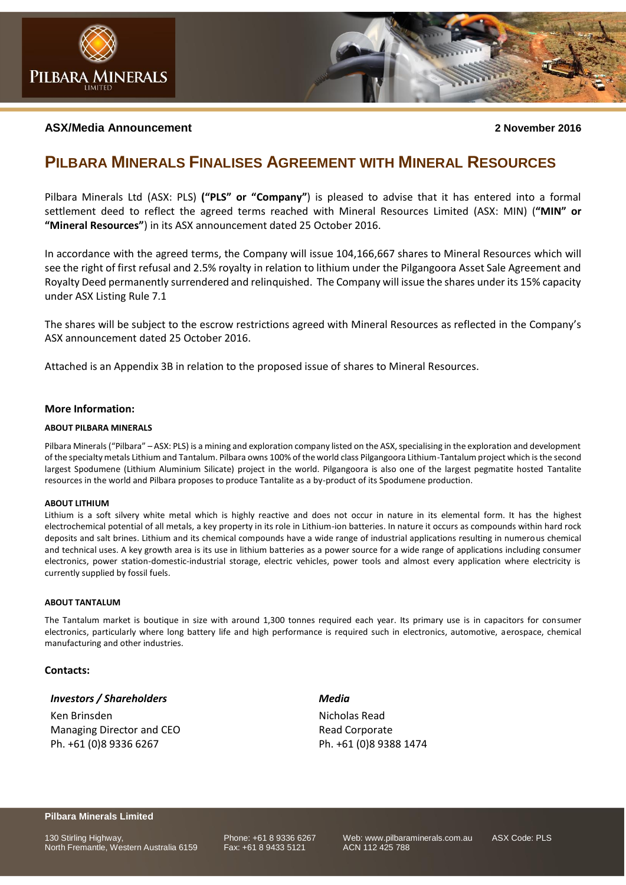

#### **ASX/Media Announcement 2 November 2016**

### **PILBARA MINERALS FINALISES AGREEMENT WITH MINERAL RESOURCES**

Pilbara Minerals Ltd (ASX: PLS) **("PLS" or "Company"**) is pleased to advise that it has entered into a formal settlement deed to reflect the agreed terms reached with Mineral Resources Limited (ASX: MIN) (**"MIN" or "Mineral Resources"**) in its ASX announcement dated 25 October 2016.

In accordance with the agreed terms, the Company will issue 104,166,667 shares to Mineral Resources which will see the right of first refusal and 2.5% royalty in relation to lithium under the Pilgangoora Asset Sale Agreement and Royalty Deed permanently surrendered and relinquished. The Company will issue the shares under its 15% capacity under ASX Listing Rule 7.1

The shares will be subject to the escrow restrictions agreed with Mineral Resources as reflected in the Company's ASX announcement dated 25 October 2016.

Attached is an Appendix 3B in relation to the proposed issue of shares to Mineral Resources.

#### **More Information:**

#### **ABOUT PILBARA MINERALS**

Pilbara Minerals ("Pilbara" – ASX: PLS) is a mining and exploration company listed on the ASX, specialising in the exploration and development of the specialty metals Lithium and Tantalum. Pilbara owns 100% of the world class Pilgangoora Lithium-Tantalum project which is the second largest Spodumene (Lithium Aluminium Silicate) project in the world. Pilgangoora is also one of the largest pegmatite hosted Tantalite resources in the world and Pilbara proposes to produce Tantalite as a by-product of its Spodumene production.

#### **ABOUT LITHIUM**

Lithium is a soft silvery white metal which is highly reactive and does not occur in nature in its elemental form. It has the highest electrochemical potential of all metals, a key property in its role in Lithium-ion batteries. In nature it occurs as compounds within hard rock deposits and salt brines. Lithium and its chemical compounds have a wide range of industrial applications resulting in numerous chemical and technical uses. A key growth area is its use in lithium batteries as a power source for a wide range of applications including consumer electronics, power station-domestic-industrial storage, electric vehicles, power tools and almost every application where electricity is currently supplied by fossil fuels.

#### **ABOUT TANTALUM**

The Tantalum market is boutique in size with around 1,300 tonnes required each year. Its primary use is in capacitors for consumer electronics, particularly where long battery life and high performance is required such in electronics, automotive, aerospace, chemical manufacturing and other industries.

#### **Contacts:**

#### *Investors / Shareholders*

Ken Brinsden Managing Director and CEO Ph. +61 (0)8 9336 6267

*Media* Nicholas Read

Read Corporate Ph. +61 (0)8 9388 1474

#### **Pilbara Minerals Limited**

130 Stirling Highway, **Phone: +61 8 9336 6267** Web: www.pilbaraminerals.com.au ASX Code: PLS<br>North Fremantle. Western Australia 6159 Fax: +61 8 9433 5121 ACN 112 425 788 North Fremantle, Western Australia 6159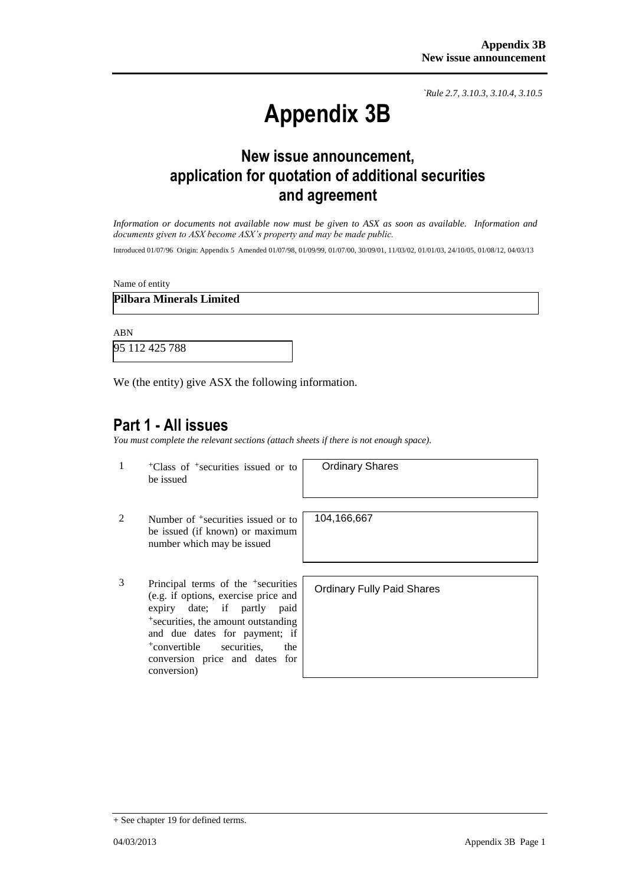*`Rule 2.7, 3.10.3, 3.10.4, 3.10.5*

# **Appendix 3B**

# **New issue announcement, application for quotation of additional securities and agreement**

*Information or documents not available now must be given to ASX as soon as available. Information and documents given to ASX become ASX's property and may be made public.*

Introduced 01/07/96 Origin: Appendix 5 Amended 01/07/98, 01/09/99, 01/07/00, 30/09/01, 11/03/02, 01/01/03, 24/10/05, 01/08/12, 04/03/13

Name of entity

### **Pilbara Minerals Limited**

ABN

95 112 425 788

We (the entity) give ASX the following information.

### **Part 1 - All issues**

*You must complete the relevant sections (attach sheets if there is not enough space).*

1 +Class of +securities issued or to be issued

Ordinary Shares

- 2 Number of <sup>+</sup>securities issued or to be issued (if known) or maximum number which may be issued
- 3 Principal terms of the +securities (e.g. if options, exercise price and expiry date; if partly paid +securities, the amount outstanding and due dates for payment; if +convertible securities, the conversion price and dates for conversion)

104,166,667

Ordinary Fully Paid Shares

<sup>+</sup> See chapter 19 for defined terms.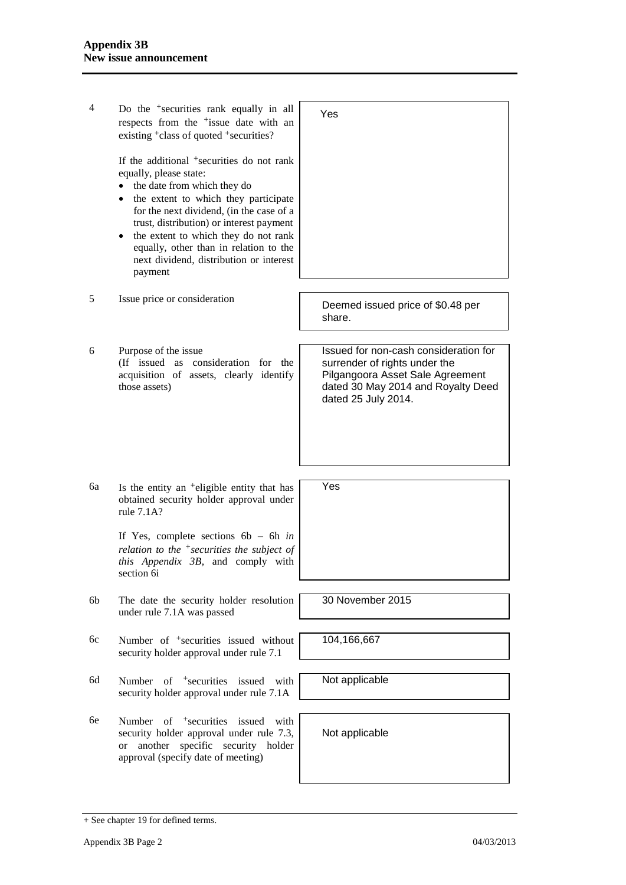4 Do the +securities rank equally in all respects from the +issue date with an existing +class of quoted +securities? If the additional +securities do not rank equally, please state: • the date from which they do • the extent to which they participate for the next dividend, (in the case of a trust, distribution) or interest payment  $\bullet$  the extent to which they do not rank equally, other than in relation to the next dividend, distribution or interest payment Yes <sup>5</sup> Issue price or consideration Deemed issued price of \$0.48 per share. 6 Purpose of the issue (If issued as consideration for the acquisition of assets, clearly identify those assets) Issued for non-cash consideration for surrender of rights under the Pilgangoora Asset Sale Agreement dated 30 May 2014 and Royalty Deed dated 25 July 2014.  $6a$  Is the entity an  $\pm$ eligible entity that has obtained security holder approval under rule 7.1A? If Yes, complete sections 6b – 6h *in relation to the +securities the subject of this Appendix 3B*, and comply with section 6i Yes 6b The date the security holder resolution under rule 7.1A was passed 30 November 2015 6c Number of +securities issued without security holder approval under rule 7.1 104,166,667 6d Number of +securities issued with security holder approval under rule 7.1A Not applicable 6e Number of +securities issued with security holder approval under rule 7.3, or another specific security holder approval (specify date of meeting) Not applicable

<sup>+</sup> See chapter 19 for defined terms.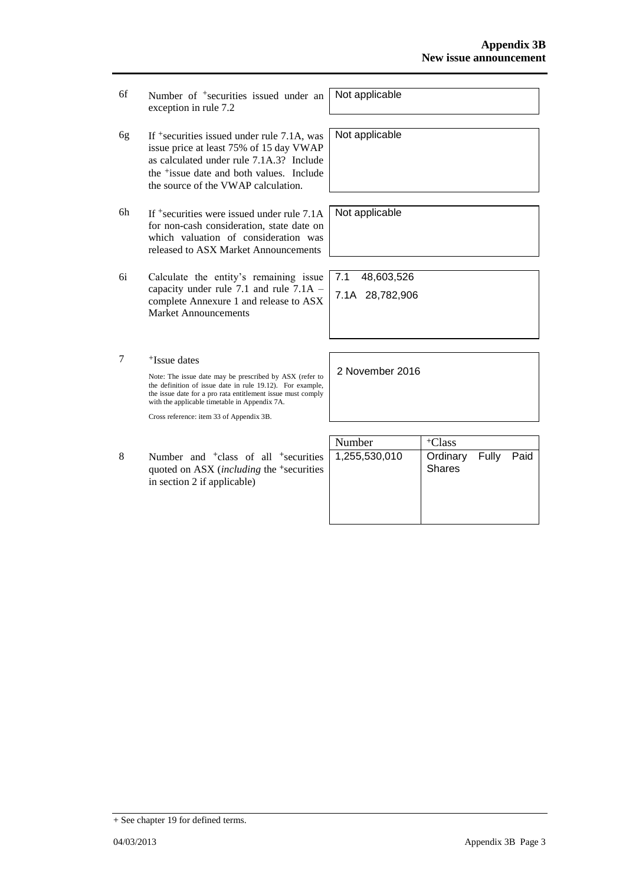- 6f Number of +securities issued under an exception in rule 7.2
- 6g If +securities issued under rule 7.1A, was issue price at least 75% of 15 day VWAP as calculated under rule 7.1A.3? Include the +issue date and both values. Include the source of the VWAP calculation.
- 6h If +securities were issued under rule 7.1A for non-cash consideration, state date on which valuation of consideration was released to ASX Market Announcements
- 6i Calculate the entity's remaining issue capacity under rule 7.1 and rule 7.1A – complete Annexure 1 and release to ASX Market Announcements
- 7 +Issue dates Note: The issue date may be prescribed by ASX (refer to the definition of issue date in rule 19.12). For example, the issue date for a pro rata entitlement issue must comply with the applicable timetable in Appendix 7A.

Cross reference: item 33 of Appendix 3B.

8 Number and <sup>+</sup>class of all <sup>+</sup>securities quoted on ASX (*including* the <sup>+</sup>securities in section 2 if applicable)

| Number        | <sup>+</sup> Class                   |  |
|---------------|--------------------------------------|--|
| 1,255,530,010 | Ordinary Fully Paid<br><b>Shares</b> |  |

Not applicable

Not applicable

Not applicable

7.1 48,603,526 7.1A 28,782,906

2 November 2016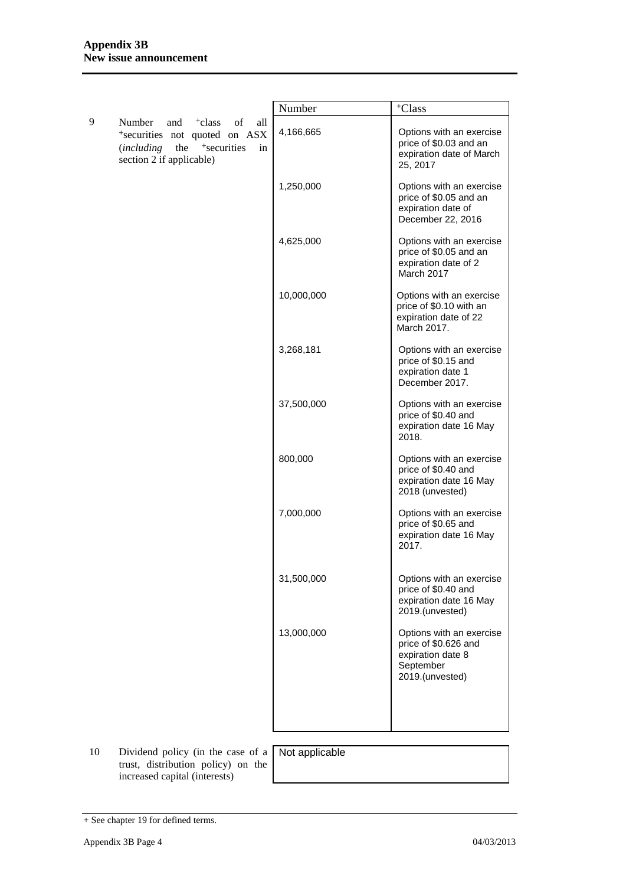|   |                                                                                                                                                                      | Number     | <sup>+</sup> Class                                                                                    |
|---|----------------------------------------------------------------------------------------------------------------------------------------------------------------------|------------|-------------------------------------------------------------------------------------------------------|
| 9 | Number<br>and <sup>+</sup> class<br>of<br>all<br>*securities not quoted on ASX<br>the <sup>+</sup> securities<br><i>(including</i><br>in<br>section 2 if applicable) | 4,166,665  | Options with an exercise<br>price of \$0.03 and an<br>expiration date of March<br>25, 2017            |
|   |                                                                                                                                                                      | 1,250,000  | Options with an exercise<br>price of \$0.05 and an<br>expiration date of<br>December 22, 2016         |
|   |                                                                                                                                                                      | 4,625,000  | Options with an exercise<br>price of \$0.05 and an<br>expiration date of 2<br>March 2017              |
|   |                                                                                                                                                                      | 10,000,000 | Options with an exercise<br>price of \$0.10 with an<br>expiration date of 22<br>March 2017.           |
|   |                                                                                                                                                                      | 3,268,181  | Options with an exercise<br>price of \$0.15 and<br>expiration date 1<br>December 2017.                |
|   |                                                                                                                                                                      | 37,500,000 | Options with an exercise<br>price of \$0.40 and<br>expiration date 16 May<br>2018.                    |
|   |                                                                                                                                                                      | 800,000    | Options with an exercise<br>price of \$0.40 and<br>expiration date 16 May<br>2018 (unvested)          |
|   |                                                                                                                                                                      | 7,000,000  | Options with an exercise<br>price of \$0.65 and<br>expiration date 16 May<br>2017.                    |
|   |                                                                                                                                                                      | 31,500,000 | Options with an exercise<br>price of \$0.40 and<br>expiration date 16 May<br>2019.(unvested)          |
|   |                                                                                                                                                                      | 13,000,000 | Options with an exercise<br>price of \$0.626 and<br>expiration date 8<br>September<br>2019.(unvested) |
|   |                                                                                                                                                                      |            |                                                                                                       |

10 Dividend policy (in the case of a trust, distribution policy) on the increased capital (interests)

Not applicable

<sup>+</sup> See chapter 19 for defined terms.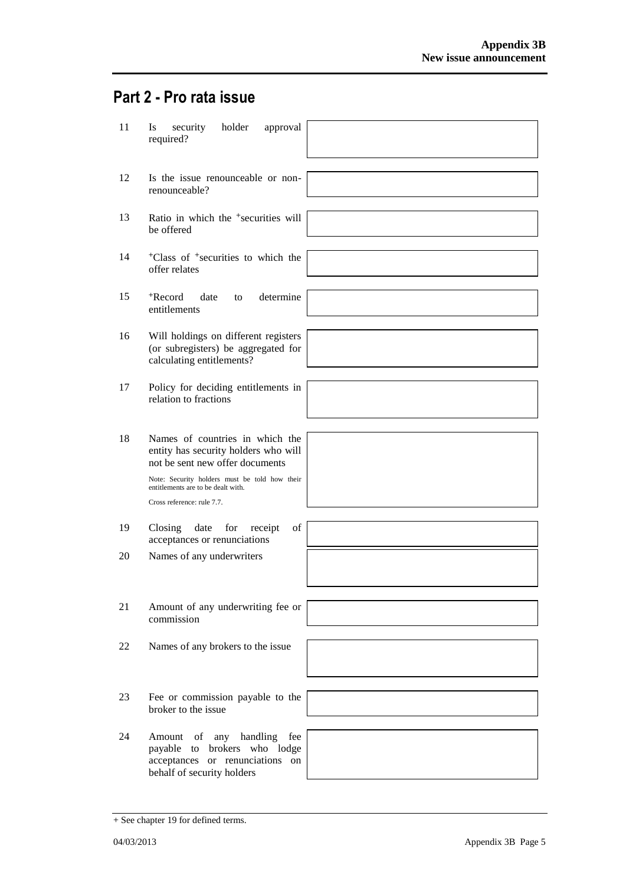# **Part 2 - Pro rata issue**

| 11 | security<br>holder<br>approval<br>Is<br>required?                                                                              |
|----|--------------------------------------------------------------------------------------------------------------------------------|
| 12 | Is the issue renounceable or non-<br>renounceable?                                                                             |
| 13 | Ratio in which the <sup>+</sup> securities will<br>be offered                                                                  |
| 14 | <sup>+</sup> Class of <sup>+</sup> securities to which the<br>offer relates                                                    |
| 15 | <sup>+</sup> Record<br>date<br>determine<br>to<br>entitlements                                                                 |
| 16 | Will holdings on different registers<br>(or subregisters) be aggregated for<br>calculating entitlements?                       |
| 17 | Policy for deciding entitlements in<br>relation to fractions                                                                   |
| 18 | Names of countries in which the<br>entity has security holders who will<br>not be sent new offer documents                     |
|    | Note: Security holders must be told how their<br>entitlements are to be dealt with.<br>Cross reference: rule 7.7.              |
| 19 | of<br>Closing<br>date<br>for<br>receipt<br>acceptances or renunciations                                                        |
| 20 | Names of any underwriters                                                                                                      |
| 21 | Amount of any underwriting fee or<br>commission                                                                                |
| 22 | Names of any brokers to the issue                                                                                              |
| 23 | Fee or commission payable to the<br>broker to the issue                                                                        |
| 24 | Amount of any handling<br>fee<br>payable to brokers who lodge<br>acceptances or renunciations on<br>behalf of security holders |

<sup>+</sup> See chapter 19 for defined terms.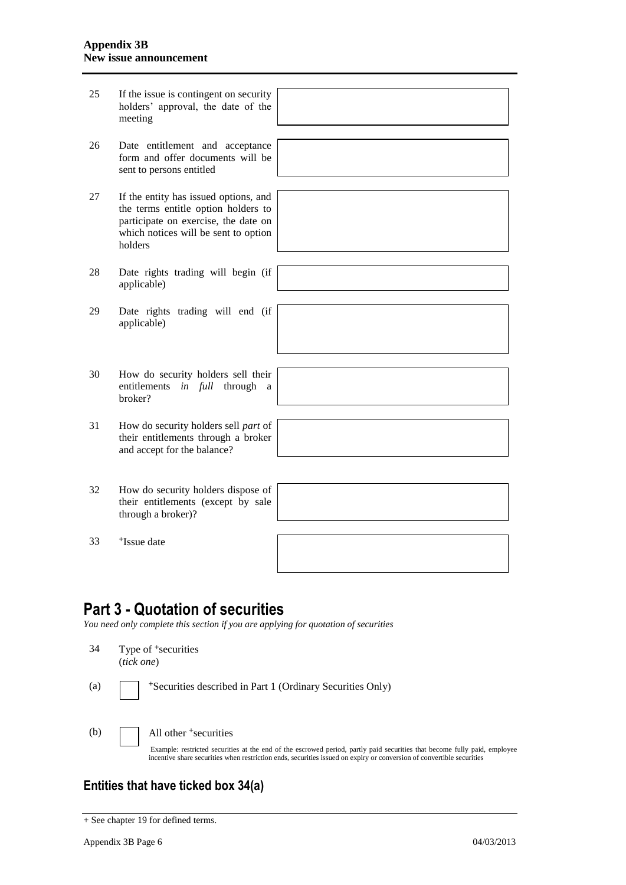| 25 | If the issue is contingent on security<br>holders' approval, the date of the<br>meeting                                                                                 |  |
|----|-------------------------------------------------------------------------------------------------------------------------------------------------------------------------|--|
|    |                                                                                                                                                                         |  |
| 26 | Date entitlement and acceptance<br>form and offer documents will be<br>sent to persons entitled                                                                         |  |
|    |                                                                                                                                                                         |  |
| 27 | If the entity has issued options, and<br>the terms entitle option holders to<br>participate on exercise, the date on<br>which notices will be sent to option<br>holders |  |
|    |                                                                                                                                                                         |  |
| 28 | Date rights trading will begin (if<br>applicable)                                                                                                                       |  |
|    |                                                                                                                                                                         |  |
| 29 | Date rights trading will end (if<br>applicable)                                                                                                                         |  |
|    |                                                                                                                                                                         |  |
| 30 | How do security holders sell their<br>entitlements in full through<br>a<br>broker?                                                                                      |  |
|    |                                                                                                                                                                         |  |
| 31 | How do security holders sell part of<br>their entitlements through a broker<br>and accept for the balance?                                                              |  |
|    |                                                                                                                                                                         |  |
| 32 | How do security holders dispose of<br>their entitlements (except by sale<br>through a broker)?                                                                          |  |
|    |                                                                                                                                                                         |  |
| 33 | <sup>+</sup> Issue date                                                                                                                                                 |  |

# **Part 3 - Quotation of securities**

*You need only complete this section if you are applying for quotation of securities*

| 34  | (tick one) | Type of <sup>+</sup> securities                                                                                                                                                                                                                                                         |
|-----|------------|-----------------------------------------------------------------------------------------------------------------------------------------------------------------------------------------------------------------------------------------------------------------------------------------|
| (a) |            | <sup>+</sup> Securities described in Part 1 (Ordinary Securities Only)                                                                                                                                                                                                                  |
| (b) |            | All other <sup>+</sup> securities<br>Example: restricted securities at the end of the escrowed period, partly paid securities that become fully paid, employee<br>incentive share securities when restriction ends, securities issued on expiry or conversion of convertible securities |

## **Entities that have ticked box 34(a)**

<sup>+</sup> See chapter 19 for defined terms.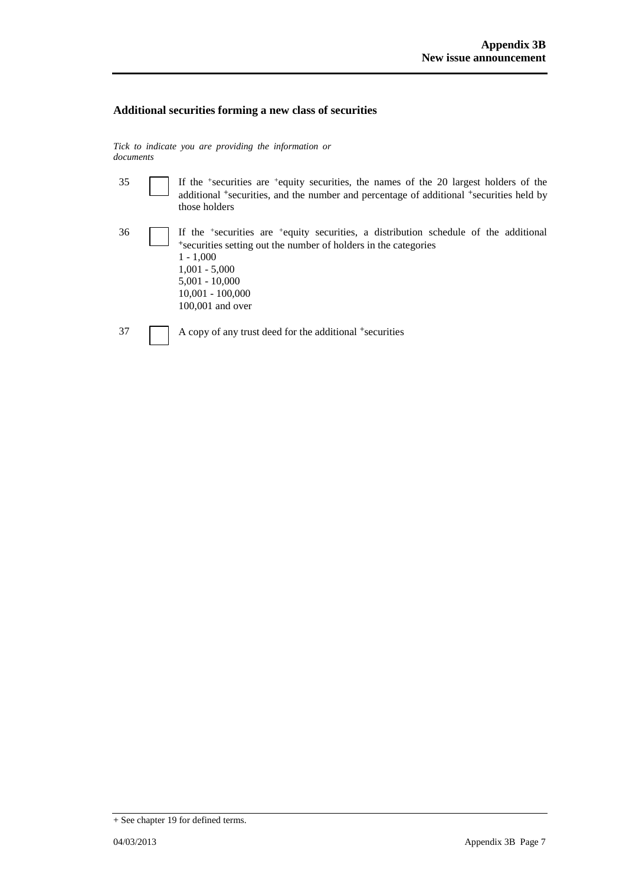### **Additional securities forming a new class of securities**

*Tick to indicate you are providing the information or documents*

| 35 | If the $\pm$ securities are $\pm$ equity securities, the names of the 20 largest holders of the<br>additional <sup>+</sup> securities, and the number and percentage of additional <sup>+</sup> securities held by<br>those holders                                               |
|----|-----------------------------------------------------------------------------------------------------------------------------------------------------------------------------------------------------------------------------------------------------------------------------------|
| 36 | If the <sup>+</sup> securities are <sup>+</sup> equity securities, a distribution schedule of the additional<br>*securities setting out the number of holders in the categories<br>$1 - 1.000$<br>$1,001 - 5,000$<br>$5,001 - 10,000$<br>$10,001 - 100,000$<br>$100,001$ and over |
| 37 | A copy of any trust deed for the additional +securities                                                                                                                                                                                                                           |

<sup>+</sup> See chapter 19 for defined terms.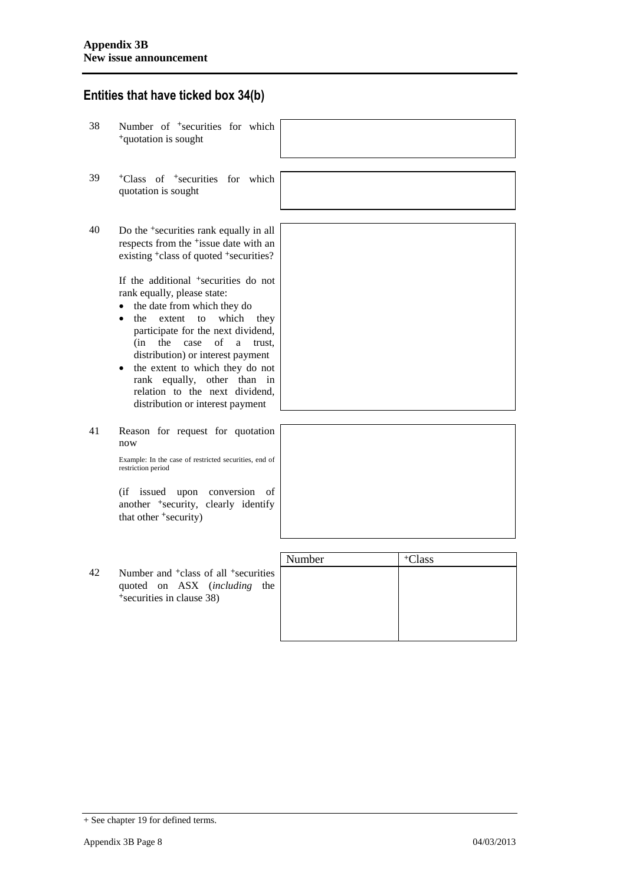### **Entities that have ticked box 34(b)**

- 38 Number of <sup>+</sup>securities for which <sup>+</sup>quotation is sought
- 39 <sup>+</sup>Class of <sup>+</sup>securities for which quotation is sought
- 40 Do the <sup>+</sup>securities rank equally in all respects from the <sup>+</sup>issue date with an existing <sup>+</sup>class of quoted <sup>+</sup>securities?

If the additional <sup>+</sup>securities do not rank equally, please state:

- the date from which they do
- the extent to which they participate for the next dividend, (in the case of a trust, distribution) or interest payment
- the extent to which they do not rank equally, other than in relation to the next dividend, distribution or interest payment

41 Reason for request for quotation now

> Example: In the case of restricted securities, end of restriction period

> (if issued upon conversion of another <sup>+</sup>security, clearly identify that other <sup>+</sup>security)

42 Number and <sup>+</sup>class of all <sup>+</sup>securities quoted on ASX (*including* the +securities in clause 38)

| Number | <sup>+</sup> Class |  |
|--------|--------------------|--|
|        |                    |  |
|        |                    |  |
|        |                    |  |
|        |                    |  |
|        |                    |  |
|        |                    |  |

<sup>+</sup> See chapter 19 for defined terms.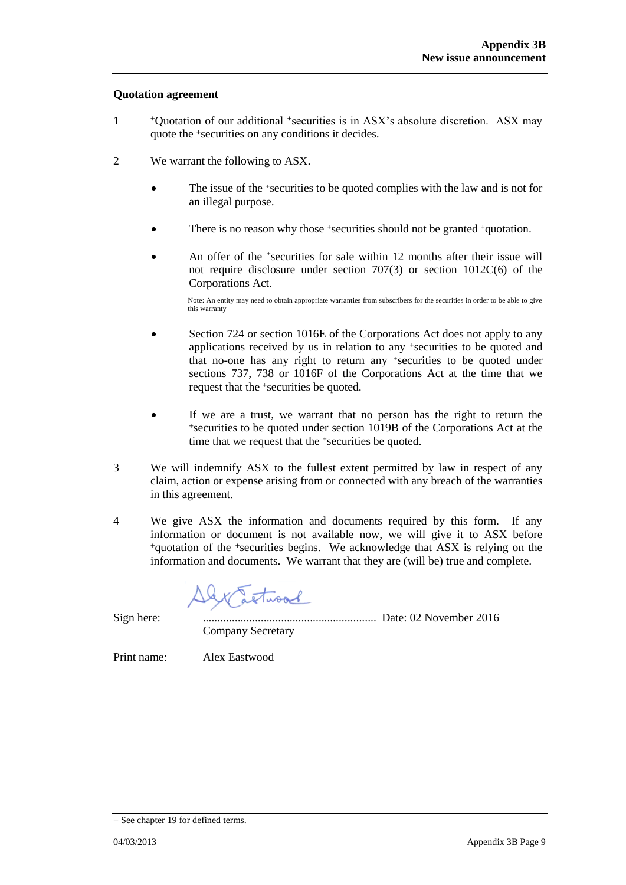### **Quotation agreement**

- 1 <sup>+</sup>Quotation of our additional +securities is in ASX's absolute discretion. ASX may quote the +securities on any conditions it decides.
- 2 We warrant the following to ASX.
	- The issue of the +securities to be quoted complies with the law and is not for an illegal purpose.
	- There is no reason why those +securities should not be granted +quotation.
	- An offer of the <sup>+</sup>securities for sale within 12 months after their issue will not require disclosure under section 707(3) or section 1012C(6) of the Corporations Act.

Note: An entity may need to obtain appropriate warranties from subscribers for the securities in order to be able to give this warranty

- Section 724 or section 1016E of the Corporations Act does not apply to any applications received by us in relation to any +securities to be quoted and that no-one has any right to return any +securities to be quoted under sections 737, 738 or 1016F of the Corporations Act at the time that we request that the +securities be quoted.
- If we are a trust, we warrant that no person has the right to return the <sup>+</sup>securities to be quoted under section 1019B of the Corporations Act at the time that we request that the +securities be quoted.
- 3 We will indemnify ASX to the fullest extent permitted by law in respect of any claim, action or expense arising from or connected with any breach of the warranties in this agreement.
- 4 We give ASX the information and documents required by this form. If any information or document is not available now, we will give it to ASX before <sup>+</sup>quotation of the +securities begins. We acknowledge that ASX is relying on the information and documents. We warrant that they are (will be) true and complete.

twood

Sign here: ............................................................ Date: 02 November 2016 Company Secretary

Print name: Alex Eastwood

<sup>+</sup> See chapter 19 for defined terms.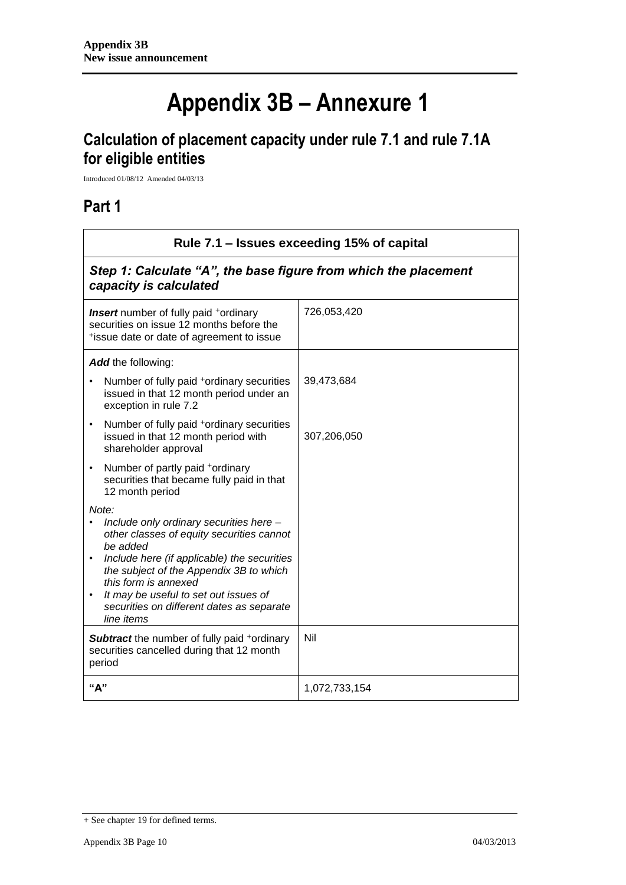# **Appendix 3B – Annexure 1**

# **Calculation of placement capacity under rule 7.1 and rule 7.1A for eligible entities**

Introduced 01/08/12 Amended 04/03/13

### **Part 1**

| Rule 7.1 – Issues exceeding 15% of capital                                                                                                                                                                                                                                                                                                   |               |  |  |
|----------------------------------------------------------------------------------------------------------------------------------------------------------------------------------------------------------------------------------------------------------------------------------------------------------------------------------------------|---------------|--|--|
| Step 1: Calculate "A", the base figure from which the placement<br>capacity is calculated                                                                                                                                                                                                                                                    |               |  |  |
| <b>Insert</b> number of fully paid <sup>+</sup> ordinary<br>securities on issue 12 months before the<br>*issue date or date of agreement to issue                                                                                                                                                                                            | 726,053,420   |  |  |
| Add the following:                                                                                                                                                                                                                                                                                                                           |               |  |  |
| Number of fully paid <sup>+</sup> ordinary securities<br>issued in that 12 month period under an<br>exception in rule 7.2                                                                                                                                                                                                                    | 39,473,684    |  |  |
| Number of fully paid <sup>+</sup> ordinary securities<br>$\bullet$<br>issued in that 12 month period with<br>shareholder approval                                                                                                                                                                                                            | 307,206,050   |  |  |
| Number of partly paid +ordinary<br>$\bullet$<br>securities that became fully paid in that<br>12 month period                                                                                                                                                                                                                                 |               |  |  |
| Note:<br>Include only ordinary securities here -<br>other classes of equity securities cannot<br>be added<br>Include here (if applicable) the securities<br>$\bullet$<br>the subject of the Appendix 3B to which<br>this form is annexed<br>It may be useful to set out issues of<br>securities on different dates as separate<br>line items |               |  |  |
| <b>Subtract</b> the number of fully paid +ordinary<br>securities cancelled during that 12 month<br>period                                                                                                                                                                                                                                    | Nil           |  |  |
| "А"                                                                                                                                                                                                                                                                                                                                          | 1,072,733,154 |  |  |

<sup>+</sup> See chapter 19 for defined terms.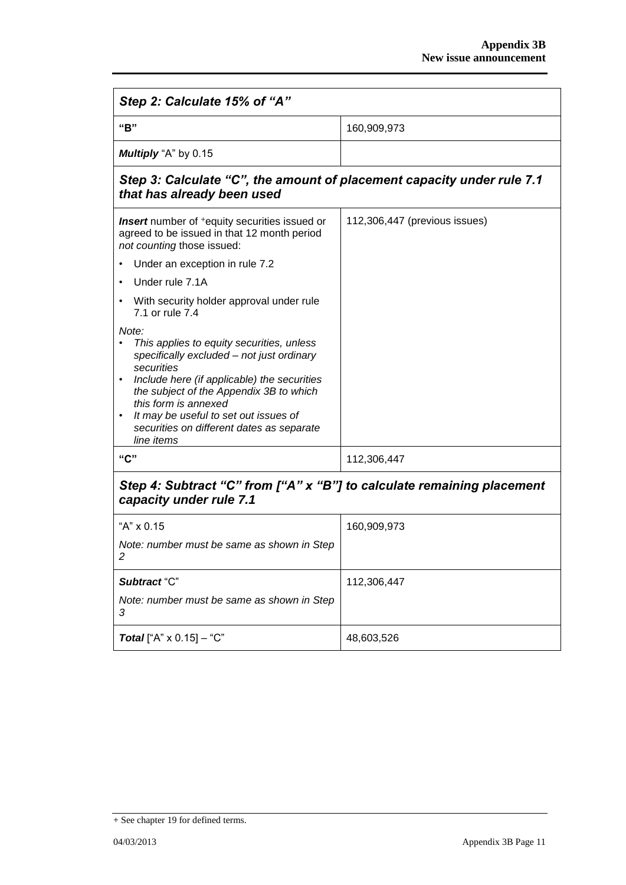| Step 2: Calculate 15% of "A"                                                                                                                                                                                                                                                                                                             |                               |  |  |
|------------------------------------------------------------------------------------------------------------------------------------------------------------------------------------------------------------------------------------------------------------------------------------------------------------------------------------------|-------------------------------|--|--|
| "B"                                                                                                                                                                                                                                                                                                                                      | 160,909,973                   |  |  |
| Multiply "A" by 0.15                                                                                                                                                                                                                                                                                                                     |                               |  |  |
| Step 3: Calculate "C", the amount of placement capacity under rule 7.1<br>that has already been used                                                                                                                                                                                                                                     |                               |  |  |
| <b>Insert</b> number of <sup>+</sup> equity securities issued or<br>agreed to be issued in that 12 month period<br>not counting those issued:                                                                                                                                                                                            | 112,306,447 (previous issues) |  |  |
| Under an exception in rule 7.2<br>$\bullet$                                                                                                                                                                                                                                                                                              |                               |  |  |
| Under rule 7.1A<br>$\bullet$                                                                                                                                                                                                                                                                                                             |                               |  |  |
| With security holder approval under rule<br>٠<br>7.1 or rule 7.4                                                                                                                                                                                                                                                                         |                               |  |  |
| Note:<br>This applies to equity securities, unless<br>specifically excluded - not just ordinary<br>securities<br>Include here (if applicable) the securities<br>the subject of the Appendix 3B to which<br>this form is annexed<br>It may be useful to set out issues of<br>٠<br>securities on different dates as separate<br>line items |                               |  |  |
| "C"                                                                                                                                                                                                                                                                                                                                      | 112,306,447                   |  |  |
| Step 4: Subtract "C" from ["A" x "B"] to calculate remaining placement<br>capacity under rule 7.1                                                                                                                                                                                                                                        |                               |  |  |
| "A" x 0.15                                                                                                                                                                                                                                                                                                                               | 160,909,973                   |  |  |
| Note: number must be same as shown in Step<br>z                                                                                                                                                                                                                                                                                          |                               |  |  |
| Subtract "C"                                                                                                                                                                                                                                                                                                                             | 112,306,447                   |  |  |
| Note: number must be same as shown in Step<br>3                                                                                                                                                                                                                                                                                          |                               |  |  |
| <b>Total</b> ["A" $\times$ 0.15] – "C"                                                                                                                                                                                                                                                                                                   | 48,603,526                    |  |  |

<sup>+</sup> See chapter 19 for defined terms.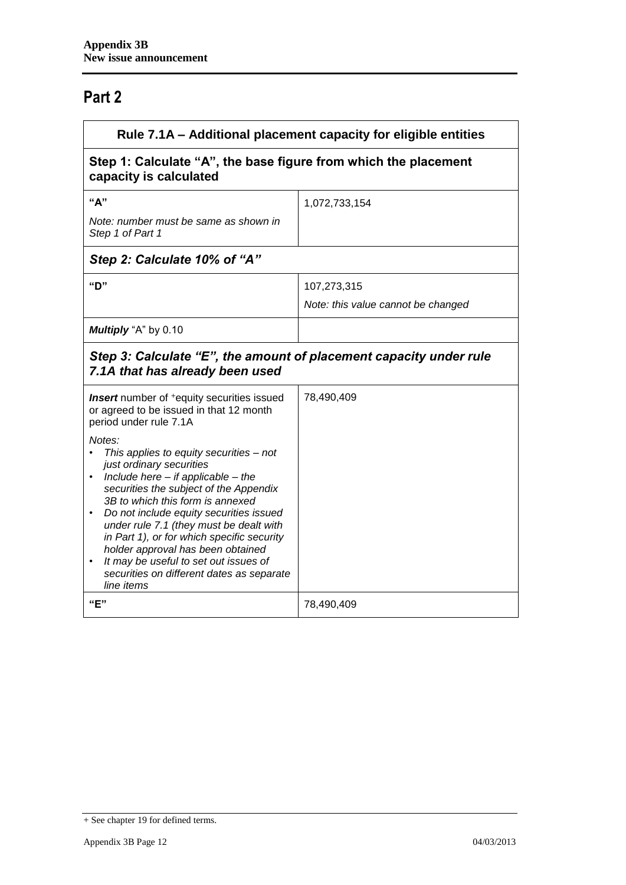# **Part 2**

| Rule 7.1A - Additional placement capacity for eligible entities                                                                                                                                                                                                                                                                                                                                                                                                                                                                                                                                                                       |                                                   |  |
|---------------------------------------------------------------------------------------------------------------------------------------------------------------------------------------------------------------------------------------------------------------------------------------------------------------------------------------------------------------------------------------------------------------------------------------------------------------------------------------------------------------------------------------------------------------------------------------------------------------------------------------|---------------------------------------------------|--|
| Step 1: Calculate "A", the base figure from which the placement<br>capacity is calculated                                                                                                                                                                                                                                                                                                                                                                                                                                                                                                                                             |                                                   |  |
| "А"<br>Note: number must be same as shown in<br>Step 1 of Part 1                                                                                                                                                                                                                                                                                                                                                                                                                                                                                                                                                                      | 1,072,733,154                                     |  |
| Step 2: Calculate 10% of "A"                                                                                                                                                                                                                                                                                                                                                                                                                                                                                                                                                                                                          |                                                   |  |
| "D"                                                                                                                                                                                                                                                                                                                                                                                                                                                                                                                                                                                                                                   | 107,273,315<br>Note: this value cannot be changed |  |
| Multiply "A" by 0.10                                                                                                                                                                                                                                                                                                                                                                                                                                                                                                                                                                                                                  |                                                   |  |
| Step 3: Calculate "E", the amount of placement capacity under rule<br>7.1A that has already been used                                                                                                                                                                                                                                                                                                                                                                                                                                                                                                                                 |                                                   |  |
| <b>Insert</b> number of <sup>+</sup> equity securities issued<br>or agreed to be issued in that 12 month<br>period under rule 7.1A<br>Notes:<br>This applies to equity securities - not<br>just ordinary securities<br>Include here $-$ if applicable $-$ the<br>securities the subject of the Appendix<br>3B to which this form is annexed<br>Do not include equity securities issued<br>under rule 7.1 (they must be dealt with<br>in Part 1), or for which specific security<br>holder approval has been obtained<br>It may be useful to set out issues of<br>$\bullet$<br>securities on different dates as separate<br>line items | 78,490,409                                        |  |
| "E"                                                                                                                                                                                                                                                                                                                                                                                                                                                                                                                                                                                                                                   | 78,490,409                                        |  |

<sup>+</sup> See chapter 19 for defined terms.